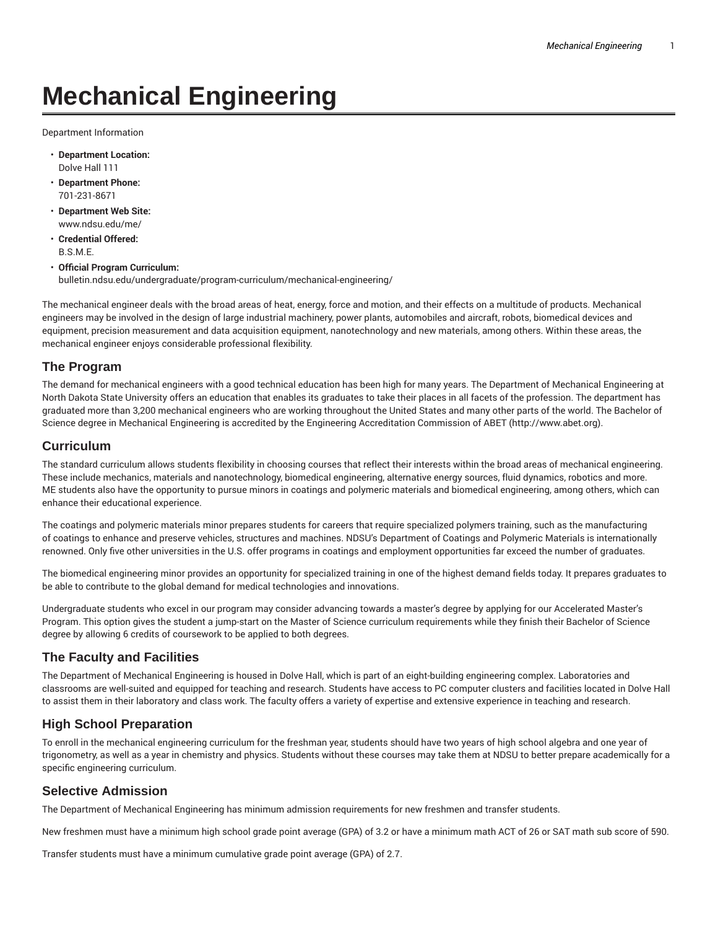# **Mechanical Engineering**

Department Information

- **Department Location:** Dolve Hall 111
- **Department Phone:** 701-231-8671
- **Department Web Site:** www.ndsu.edu/me/
- **Credential Offered:** B.S.M.E.
- **Official Program Curriculum:** bulletin.ndsu.edu/undergraduate/program-curriculum/mechanical-engineering/

The mechanical engineer deals with the broad areas of heat, energy, force and motion, and their effects on a multitude of products. Mechanical engineers may be involved in the design of large industrial machinery, power plants, automobiles and aircraft, robots, biomedical devices and equipment, precision measurement and data acquisition equipment, nanotechnology and new materials, among others. Within these areas, the mechanical engineer enjoys considerable professional flexibility.

## **The Program**

The demand for mechanical engineers with a good technical education has been high for many years. The Department of Mechanical Engineering at North Dakota State University offers an education that enables its graduates to take their places in all facets of the profession. The department has graduated more than 3,200 mechanical engineers who are working throughout the United States and many other parts of the world. The Bachelor of Science degree in Mechanical Engineering is accredited by the Engineering Accreditation Commission of ABET (http://www.abet.org).

#### **Curriculum**

The standard curriculum allows students flexibility in choosing courses that reflect their interests within the broad areas of mechanical engineering. These include mechanics, materials and nanotechnology, biomedical engineering, alternative energy sources, fluid dynamics, robotics and more. ME students also have the opportunity to pursue minors in coatings and polymeric materials and biomedical engineering, among others, which can enhance their educational experience.

The coatings and polymeric materials minor prepares students for careers that require specialized polymers training, such as the manufacturing of coatings to enhance and preserve vehicles, structures and machines. NDSU's Department of Coatings and Polymeric Materials is internationally renowned. Only five other universities in the U.S. offer programs in coatings and employment opportunities far exceed the number of graduates.

The biomedical engineering minor provides an opportunity for specialized training in one of the highest demand fields today. It prepares graduates to be able to contribute to the global demand for medical technologies and innovations.

Undergraduate students who excel in our program may consider advancing towards a master's degree by applying for our Accelerated Master's Program. This option gives the student a jump-start on the Master of Science curriculum requirements while they finish their Bachelor of Science degree by allowing 6 credits of coursework to be applied to both degrees.

#### **The Faculty and Facilities**

The Department of Mechanical Engineering is housed in Dolve Hall, which is part of an eight-building engineering complex. Laboratories and classrooms are well-suited and equipped for teaching and research. Students have access to PC computer clusters and facilities located in Dolve Hall to assist them in their laboratory and class work. The faculty offers a variety of expertise and extensive experience in teaching and research.

## **High School Preparation**

To enroll in the mechanical engineering curriculum for the freshman year, students should have two years of high school algebra and one year of trigonometry, as well as a year in chemistry and physics. Students without these courses may take them at NDSU to better prepare academically for a specific engineering curriculum.

#### **Selective Admission**

The Department of Mechanical Engineering has minimum admission requirements for new freshmen and transfer students.

New freshmen must have a minimum high school grade point average (GPA) of 3.2 or have a minimum math ACT of 26 or SAT math sub score of 590.

Transfer students must have a minimum cumulative grade point average (GPA) of 2.7.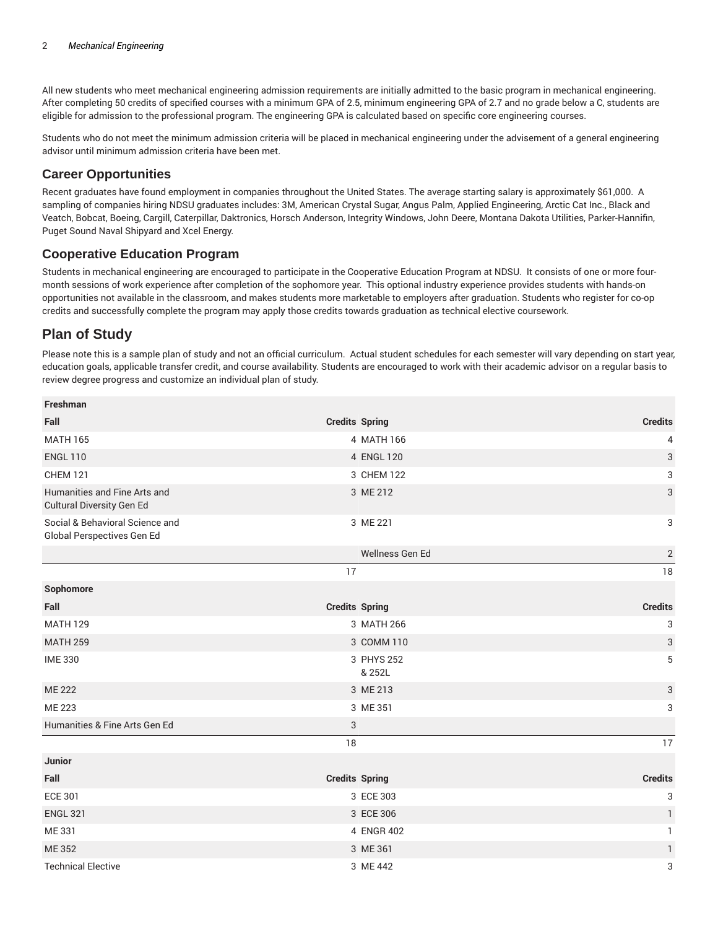All new students who meet mechanical engineering admission requirements are initially admitted to the basic program in mechanical engineering. After completing 50 credits of specified courses with a minimum GPA of 2.5, minimum engineering GPA of 2.7 and no grade below a C, students are eligible for admission to the professional program. The engineering GPA is calculated based on specific core engineering courses.

Students who do not meet the minimum admission criteria will be placed in mechanical engineering under the advisement of a general engineering advisor until minimum admission criteria have been met.

### **Career Opportunities**

Recent graduates have found employment in companies throughout the United States. The average starting salary is approximately \$61,000. A sampling of companies hiring NDSU graduates includes: 3M, American Crystal Sugar, Angus Palm, Applied Engineering, Arctic Cat Inc., Black and Veatch, Bobcat, Boeing, Cargill, Caterpillar, Daktronics, Horsch Anderson, Integrity Windows, John Deere, Montana Dakota Utilities, Parker-Hannifin, Puget Sound Naval Shipyard and Xcel Energy.

## **Cooperative Education Program**

Students in mechanical engineering are encouraged to participate in the Cooperative Education Program at NDSU. It consists of one or more fourmonth sessions of work experience after completion of the sophomore year. This optional industry experience provides students with hands-on opportunities not available in the classroom, and makes students more marketable to employers after graduation. Students who register for co-op credits and successfully complete the program may apply those credits towards graduation as technical elective coursework.

## **Plan of Study**

Please note this is a sample plan of study and not an official curriculum. Actual student schedules for each semester will vary depending on start year, education goals, applicable transfer credit, and course availability. Students are encouraged to work with their academic advisor on a regular basis to review degree progress and customize an individual plan of study.

| Freshman                                                      |                       |                           |
|---------------------------------------------------------------|-----------------------|---------------------------|
| Fall                                                          | <b>Credits Spring</b> | <b>Credits</b>            |
| <b>MATH 165</b>                                               | 4 MATH 166            | 4                         |
| <b>ENGL 110</b>                                               | 4 ENGL 120            | $\ensuremath{\mathsf{3}}$ |
| <b>CHEM 121</b>                                               | 3 CHEM 122            | 3                         |
| Humanities and Fine Arts and<br>Cultural Diversity Gen Ed     | 3 ME 212              | $\sqrt{3}$                |
| Social & Behavioral Science and<br>Global Perspectives Gen Ed | 3 ME 221              | 3                         |
|                                                               | Wellness Gen Ed       | $\sqrt{2}$                |
|                                                               | 17                    | 18                        |
| Sophomore                                                     |                       |                           |
| Fall                                                          | <b>Credits Spring</b> | <b>Credits</b>            |
| <b>MATH 129</b>                                               | 3 MATH 266            | 3                         |
| <b>MATH 259</b>                                               | 3 COMM 110            | $\sqrt{3}$                |
| <b>IME 330</b>                                                | 3 PHYS 252<br>& 252L  | 5                         |
| <b>ME 222</b>                                                 | 3 ME 213              | $\ensuremath{\mathsf{3}}$ |
| ME 223                                                        | 3 ME 351              | 3                         |
| Humanities & Fine Arts Gen Ed                                 | 3                     |                           |
|                                                               | 18                    | 17                        |
| <b>Junior</b>                                                 |                       |                           |
| Fall                                                          | <b>Credits Spring</b> | <b>Credits</b>            |
| <b>ECE 301</b>                                                | 3 ECE 303             | 3                         |
| <b>ENGL 321</b>                                               | 3 ECE 306             | $\mathbf{1}$              |
| ME 331                                                        | 4 ENGR 402            | $\mathbf{1}$              |
| ME 352                                                        | 3 ME 361              | $\mathbf{1}$              |
| <b>Technical Elective</b>                                     | 3 ME 442              | 3                         |